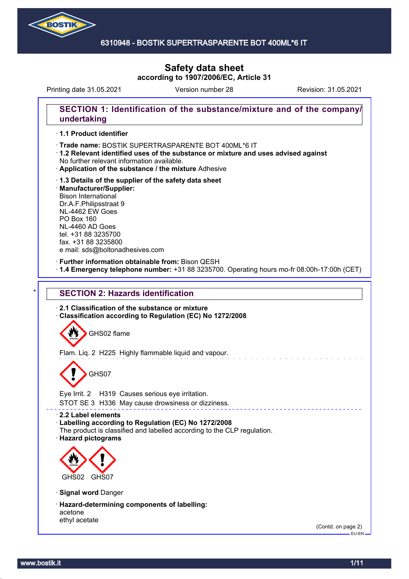

## 6310948 - BOSTIK SUPERTRASPARENTE BOT 400ML\*6 IT

# **Safety data sheet according to 1907/2006/EC, Article 31**

Printing date 31.05.2021 Version number 28 Revision: 31.05.2021

## **SECTION 1: Identification of the substance/mixture and of the company/ undertaking**

## · **1.1 Product identifier**

- · Trade name: BOSTIK SUPERTRASPARENTE BOT 400ML\*6 IT
- · **1.2 Relevant identified uses of the substance or mixture and uses advised against** No further relevant information available.
- · **Application of the substance / the mixture** Adhesive
- · **1.3 Details of the supplier of the safety data sheet** · **Manufacturer/Supplier:** Bison International Dr.A.F.Philipsstraat 9 NL-4462 EW Goes PO Box 160 NL-4460 AD Goes tel. +31 88 3235700 fax. +31 88 3235800 e mail: sds@boltonadhesives.com

#### · **Further information obtainable from:** Bison QESH

· **1.4 Emergency telephone number:** +31 88 3235700. Operating hours mo-fr 08:00h-17:00h (CET)

## **SECTION 2: Hazards identification**

· **2.1 Classification of the substance or mixture** · **Classification according to Regulation (EC) No 1272/2008**

GHS02 flame

Flam. Liq. 2 H225 Highly flammable liquid and vapour.

# GHS07

Eye Irrit. 2 H319 Causes serious eye irritation.

STOT SE 3 H336 May cause drowsiness or dizziness.

#### · **2.2 Label elements**

- · **Labelling according to Regulation (EC) No 1272/2008**
- The product is classified and labelled according to the CLP regulation.
- · **Hazard pictograms**



- · **Signal word** Danger
- · **Hazard-determining components of labelling:** acetone ethyl acetate

(Contd. on page 2) EU-EN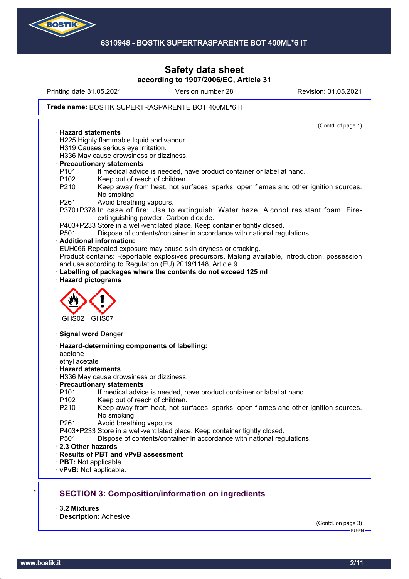

Printing date 31.05.2021 Version number 28 Revision: 31.05.2021

#### Trade name: BOSTIK SUPERTRASPARENTE BOT 400ML\*6 IT

(Contd. of page 1) · **Hazard statements** H225 Highly flammable liquid and vapour. H319 Causes serious eye irritation. H336 May cause drowsiness or dizziness. · **Precautionary statements** P101 If medical advice is needed, have product container or label at hand. P102 Keep out of reach of children. P210 Keep away from heat, hot surfaces, sparks, open flames and other ignition sources. No smoking. P261 Avoid breathing vapours. P370+P378 In case of fire: Use to extinguish: Water haze, Alcohol resistant foam, Fireextinguishing powder, Carbon dioxide. P403+P233 Store in a well-ventilated place. Keep container tightly closed. P501 Dispose of contents/container in accordance with national regulations. · **Additional information:** EUH066 Repeated exposure may cause skin dryness or cracking. Product contains: Reportable explosives precursors. Making available, introduction, possession and use according to Regulation (EU) 2019/1148, Article 9. Labelling of packages where the contents do not exceed 125 ml · **Hazard pictograms** GHS02 GHS07 · **Signal word** Danger · **Hazard-determining components of labelling:** acetone ethyl acetate · **Hazard statements** H336 May cause drowsiness or dizziness. · **Precautionary statements** P101 If medical advice is needed, have product container or label at hand. P102 Keep out of reach of children. P210 Keep away from heat, hot surfaces, sparks, open flames and other ignition sources. No smoking. P261 Avoid breathing vapours. P403+P233 Store in a well-ventilated place. Keep container tightly closed. P501 Dispose of contents/container in accordance with national regulations. · **2.3 Other hazards** · **Results of PBT and vPvB assessment** · **PBT:** Not applicable. · **vPvB:** Not applicable. **SECTION 3: Composition/information on ingredients** 

· **3.2 Mixtures**

· **Description:** Adhesive

(Contd. on page 3)

EU-EN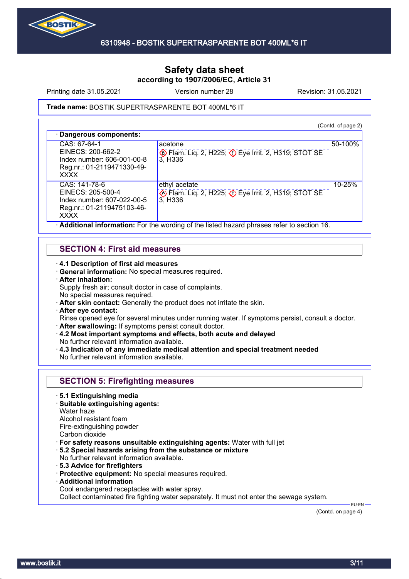

Printing date 31.05.2021 Version number 28 Revision: 31.05.2021

#### Trade name: BOSTIK SUPERTRASPARENTE BOT 400ML\*6 IT

(Contd. of page 2) · **Dangerous components:** CAS: 67-64-1 EINECS: 200-662-2 Index number: 606-001-00-8 Reg.nr.: 01-2119471330-49- XXXX acetone **Exam.** Liq. 2, H225; **D** Eye Irrit. 2, H319; STOT SE 3, H336 50-100% CAS: 141-78-6 EINECS: 205-500-4 Index number: 607-022-00-5 Reg.nr.: 01-2119475103-46- XXXX ethyl acetate **Example 2, H225; CD Eye Irrit. 2, H319; STOT SE** 3, H336 10-25% · **Additional information:** For the wording of the listed hazard phrases refer to section 16.

## **SECTION 4: First aid measures**

· **4.1 Description of first aid measures**

- · **General information:** No special measures required.
- · **After inhalation:**

Supply fresh air; consult doctor in case of complaints.

- No special measures required.
- · **After skin contact:** Generally the product does not irritate the skin.
- · **After eye contact:**

Rinse opened eye for several minutes under running water. If symptoms persist, consult a doctor. · **After swallowing:** If symptoms persist consult doctor.

- · **4.2 Most important symptoms and effects, both acute and delayed**
- No further relevant information available. · **4.3 Indication of any immediate medical attention and special treatment needed**

No further relevant information available.

## **SECTION 5: Firefighting measures**

- · **5.1 Extinguishing media**
- · **Suitable extinguishing agents:**
- Water haze

Alcohol resistant foam Fire-extinguishing powder

- Carbon dioxide
- · **For safety reasons unsuitable extinguishing agents:** Water with full jet
- · **5.2 Special hazards arising from the substance or mixture**
- No further relevant information available.
- · **5.3 Advice for firefighters**
- · **Protective equipment:** No special measures required.
- · **Additional information**
- Cool endangered receptacles with water spray.

Collect contaminated fire fighting water separately. It must not enter the sewage system.

(Contd. on page 4)

EU-EN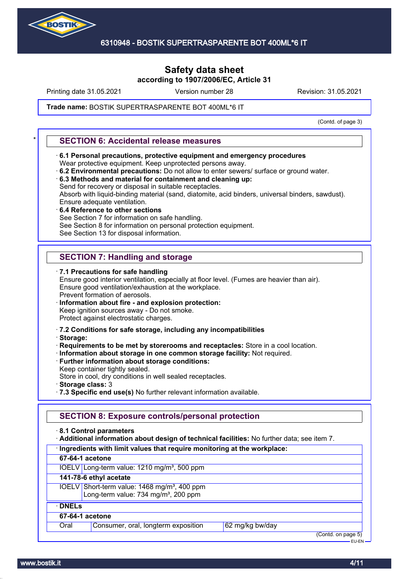

Printing date 31.05.2021 Version number 28 Revision: 31.05.2021

#### Trade name: BOSTIK SUPERTRASPARENTE BOT 400ML\*6 IT

(Contd. of page 3)

## \* **SECTION 6: Accidental release measures**

- · **6.1 Personal precautions, protective equipment and emergency procedures** Wear protective equipment. Keep unprotected persons away.
- · **6.2 Environmental precautions:** Do not allow to enter sewers/ surface or ground water.
- · **6.3 Methods and material for containment and cleaning up:** Send for recovery or disposal in suitable receptacles. Absorb with liquid-binding material (sand, diatomite, acid binders, universal binders, sawdust).

Ensure adequate ventilation.

· **6.4 Reference to other sections**

See Section 7 for information on safe handling.

See Section 8 for information on personal protection equipment.

See Section 13 for disposal information.

## **SECTION 7: Handling and storage**

· **7.1 Precautions for safe handling** Ensure good interior ventilation, especially at floor level. (Fumes are heavier than air). Ensure good ventilation/exhaustion at the workplace. Prevent formation of aerosols. · **Information about fire - and explosion protection:** Keep ignition sources away - Do not smoke.

Protect against electrostatic charges.

- · **7.2 Conditions for safe storage, including any incompatibilities**
- · **Storage:**
- · **Requirements to be met by storerooms and receptacles:** Store in a cool location.
- · **Information about storage in one common storage facility:** Not required.
- · **Further information about storage conditions:**
- Keep container tightly sealed.

Store in cool, dry conditions in well sealed receptacles.

- · **Storage class:** 3
- · **7.3 Specific end use(s)** No further relevant information available.

#### **SECTION 8: Exposure controls/personal protection**

· **8.1 Control parameters**

· **Additional information about design of technical facilities:** No further data; see item 7.

- · **Ingredients with limit values that require monitoring at the workplace:**
- **67-64-1 acetone**

IOELV Long-term value: 1210 mg/m<sup>3</sup>, 500 ppm

**141-78-6 ethyl acetate**

IOELV Short-term value: 1468 mg/m<sup>3</sup>, 400 ppm Long-term value:  $734 \text{ mg/m}^3$ ,  $200 \text{ ppm}$ 

#### · **DNELs 67-64-1 acetone**

Oral Consumer, oral, longterm exposition 62 mg/kg bw/day

(Contd. on page 5) EU-EN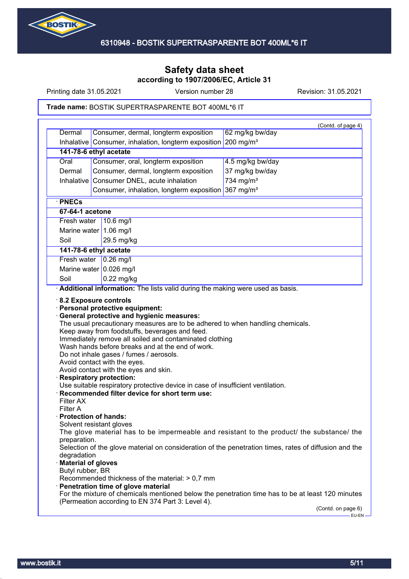

Printing date 31.05.2021 Version number 28 Revision: 31.05.2021

#### Trade name: BOSTIK SUPERTRASPARENTE BOT 400ML\*6 IT

|                      |                                                                                                                                                                                                                                                                                                                                                             | (Contd. of page 4)                                                                                                                                                                                                                                                                                     |
|----------------------|-------------------------------------------------------------------------------------------------------------------------------------------------------------------------------------------------------------------------------------------------------------------------------------------------------------------------------------------------------------|--------------------------------------------------------------------------------------------------------------------------------------------------------------------------------------------------------------------------------------------------------------------------------------------------------|
| Dermal               | Consumer, dermal, longterm exposition                                                                                                                                                                                                                                                                                                                       | 62 mg/kg bw/day                                                                                                                                                                                                                                                                                        |
|                      | Inhalative Consumer, inhalation, longterm exposition 200 mg/m <sup>3</sup>                                                                                                                                                                                                                                                                                  |                                                                                                                                                                                                                                                                                                        |
|                      | 141-78-6 ethyl acetate                                                                                                                                                                                                                                                                                                                                      |                                                                                                                                                                                                                                                                                                        |
| Oral                 | Consumer, oral, longterm exposition                                                                                                                                                                                                                                                                                                                         | 4.5 mg/kg bw/day                                                                                                                                                                                                                                                                                       |
| Dermal               | Consumer, dermal, longterm exposition                                                                                                                                                                                                                                                                                                                       | 37 mg/kg bw/day                                                                                                                                                                                                                                                                                        |
| Inhalative           | Consumer DNEL, acute inhalation                                                                                                                                                                                                                                                                                                                             | 734 mg/m <sup>3</sup>                                                                                                                                                                                                                                                                                  |
|                      | Consumer, inhalation, longterm exposition 367 mg/m <sup>3</sup>                                                                                                                                                                                                                                                                                             |                                                                                                                                                                                                                                                                                                        |
| · PNECs              |                                                                                                                                                                                                                                                                                                                                                             |                                                                                                                                                                                                                                                                                                        |
| 67-64-1 acetone      |                                                                                                                                                                                                                                                                                                                                                             |                                                                                                                                                                                                                                                                                                        |
| Fresh water          | $10.6$ mg/l                                                                                                                                                                                                                                                                                                                                                 |                                                                                                                                                                                                                                                                                                        |
|                      | Marine water 1.06 mg/l                                                                                                                                                                                                                                                                                                                                      |                                                                                                                                                                                                                                                                                                        |
| Soil                 | 29.5 mg/kg                                                                                                                                                                                                                                                                                                                                                  |                                                                                                                                                                                                                                                                                                        |
|                      | 141-78-6 ethyl acetate                                                                                                                                                                                                                                                                                                                                      |                                                                                                                                                                                                                                                                                                        |
| Fresh water          | $0.26$ mg/l                                                                                                                                                                                                                                                                                                                                                 |                                                                                                                                                                                                                                                                                                        |
|                      | Marine water $0.026$ mg/l                                                                                                                                                                                                                                                                                                                                   |                                                                                                                                                                                                                                                                                                        |
| Soil                 | $0.22$ mg/kg                                                                                                                                                                                                                                                                                                                                                |                                                                                                                                                                                                                                                                                                        |
|                      | Additional information: The lists valid during the making were used as basis.                                                                                                                                                                                                                                                                               |                                                                                                                                                                                                                                                                                                        |
|                      | 8.2 Exposure controls<br>· Personal protective equipment:<br>· General protective and hygienic measures:<br>The usual precautionary measures are to be adhered to when handling chemicals.<br>Keep away from foodstuffs, beverages and feed.<br>Immediately remove all soiled and contaminated clothing<br>Wash hands before breaks and at the end of work. |                                                                                                                                                                                                                                                                                                        |
|                      | Do not inhale gases / fumes / aerosols.<br>Avoid contact with the eyes.<br>Avoid contact with the eyes and skin.<br><b>Respiratory protection:</b><br>Use suitable respiratory protective device in case of insufficient ventilation.<br>· Recommended filter device for short term use:                                                                    |                                                                                                                                                                                                                                                                                                        |
| <b>Filter AX</b>     |                                                                                                                                                                                                                                                                                                                                                             |                                                                                                                                                                                                                                                                                                        |
| <b>Filter A</b>      |                                                                                                                                                                                                                                                                                                                                                             |                                                                                                                                                                                                                                                                                                        |
|                      | · Protection of hands:                                                                                                                                                                                                                                                                                                                                      |                                                                                                                                                                                                                                                                                                        |
|                      | Solvent resistant gloves                                                                                                                                                                                                                                                                                                                                    |                                                                                                                                                                                                                                                                                                        |
| preparation.         |                                                                                                                                                                                                                                                                                                                                                             |                                                                                                                                                                                                                                                                                                        |
|                      |                                                                                                                                                                                                                                                                                                                                                             |                                                                                                                                                                                                                                                                                                        |
| degradation          |                                                                                                                                                                                                                                                                                                                                                             |                                                                                                                                                                                                                                                                                                        |
| · Material of gloves |                                                                                                                                                                                                                                                                                                                                                             |                                                                                                                                                                                                                                                                                                        |
| Butyl rubber, BR     | Recommended thickness of the material: > 0,7 mm                                                                                                                                                                                                                                                                                                             |                                                                                                                                                                                                                                                                                                        |
|                      | · Penetration time of glove material                                                                                                                                                                                                                                                                                                                        |                                                                                                                                                                                                                                                                                                        |
|                      | (Permeation according to EN 374 Part 3: Level 4).                                                                                                                                                                                                                                                                                                           | The glove material has to be impermeable and resistant to the product/ the substance/ the<br>Selection of the glove material on consideration of the penetration times, rates of diffusion and the<br>For the mixture of chemicals mentioned below the penetration time has to be at least 120 minutes |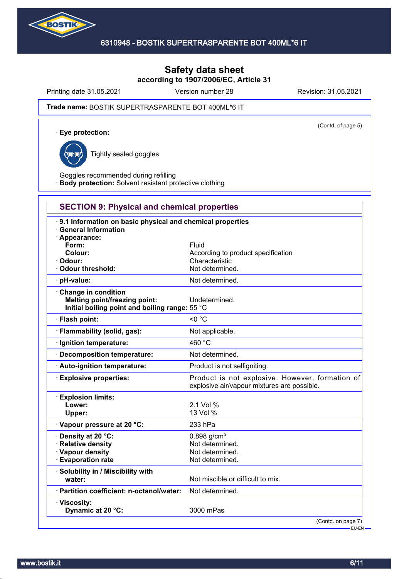

Printing date 31.05.2021 Version number 28 Revision: 31.05.2021

(Contd. of page 5)

#### Trade name: BOSTIK SUPERTRASPARENTE BOT 400ML\*6 IT

· **Eye protection:**



Tightly sealed goggles

Goggles recommended during refilling · **Body protection:** Solvent resistant protective clothing

# **SECTION 9: Physical and chemical properties**

| 9.1 Information on basic physical and chemical properties<br><b>General Information</b><br>$\cdot$ Appearance:<br>Form:<br>Colour:<br>Odour:<br>Odour threshold: | Fluid<br>According to product specification<br>Characteristic<br>Not determined.               |
|------------------------------------------------------------------------------------------------------------------------------------------------------------------|------------------------------------------------------------------------------------------------|
| · pH-value:                                                                                                                                                      | Not determined.                                                                                |
| Change in condition<br>Melting point/freezing point:<br>Initial boiling point and boiling range: 55 °C                                                           | Undetermined.                                                                                  |
| · Flash point:                                                                                                                                                   | $<$ 0 $^{\circ}$ C                                                                             |
| · Flammability (solid, gas):                                                                                                                                     | Not applicable.                                                                                |
| · Ignition temperature:                                                                                                                                          | 460 °C                                                                                         |
| · Decomposition temperature:                                                                                                                                     | Not determined.                                                                                |
| · Auto-ignition temperature:                                                                                                                                     | Product is not selfigniting.                                                                   |
| · Explosive properties:                                                                                                                                          | Product is not explosive. However, formation of<br>explosive air/vapour mixtures are possible. |
| <b>Explosion limits:</b><br>Lower:<br>Upper:                                                                                                                     | 2.1 Vol %<br>13 Vol %                                                                          |
| Vapour pressure at 20 °C:                                                                                                                                        | 233 hPa                                                                                        |
| · Density at 20 °C:<br>· Relative density<br>· Vapour density<br><b>Evaporation rate</b>                                                                         | $0.898$ g/cm <sup>3</sup><br>Not determined.<br>Not determined.<br>Not determined.             |
| · Solubility in / Miscibility with<br>water:                                                                                                                     | Not miscible or difficult to mix.                                                              |
| · Partition coefficient: n-octanol/water:                                                                                                                        | Not determined.                                                                                |
| · Viscosity:<br>Dynamic at 20 °C:                                                                                                                                | 3000 mPas                                                                                      |
|                                                                                                                                                                  | (Contd. on page 7)<br>- EU-EN -                                                                |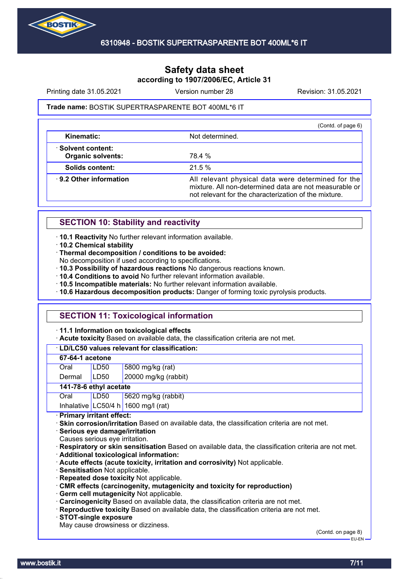

Printing date 31.05.2021 Version number 28 Revision: 31.05.2021

#### Trade name: BOSTIK SUPERTRASPARENTE BOT 400ML\*6 IT

|                                                | (Contd. of page 6)                                                                                                                                                    |
|------------------------------------------------|-----------------------------------------------------------------------------------------------------------------------------------------------------------------------|
| Kinematic:                                     | Not determined.                                                                                                                                                       |
| · Solvent content:<br><b>Organic solvents:</b> | 78.4 %                                                                                                                                                                |
| Solids content:                                | 21.5%                                                                                                                                                                 |
| ⋅ 9.2 Other information                        | All relevant physical data were determined for the<br>mixture. All non-determined data are not measurable or<br>not relevant for the characterization of the mixture. |

## **SECTION 10: Stability and reactivity**

· **10.1 Reactivity** No further relevant information available.

· **10.2 Chemical stability**

· **Thermal decomposition / conditions to be avoided:**

No decomposition if used according to specifications.

· **10.3 Possibility of hazardous reactions** No dangerous reactions known.

· **10.4 Conditions to avoid** No further relevant information available.

· **10.5 Incompatible materials:** No further relevant information available.

· **10.6 Hazardous decomposition products:** Danger of forming toxic pyrolysis products.

## **SECTION 11: Toxicological information**

· **11.1 Information on toxicological effects**

· **Acute toxicity** Based on available data, the classification criteria are not met.

| · LD/LC50 values relevant for classification:                                                                                                                                                                                  |                  |                                     |  |  |
|--------------------------------------------------------------------------------------------------------------------------------------------------------------------------------------------------------------------------------|------------------|-------------------------------------|--|--|
| 67-64-1 acetone                                                                                                                                                                                                                |                  |                                     |  |  |
| Oral                                                                                                                                                                                                                           | LD50             | 5800 mg/kg (rat)                    |  |  |
| Dermal                                                                                                                                                                                                                         | LD <sub>50</sub> | 20000 mg/kg (rabbit)                |  |  |
| 141-78-6 ethyl acetate                                                                                                                                                                                                         |                  |                                     |  |  |
| Oral                                                                                                                                                                                                                           | LD50             | 5620 mg/kg (rabbit)                 |  |  |
|                                                                                                                                                                                                                                |                  | Inhalative LC50/4 h 1600 mg/l (rat) |  |  |
| · Primary irritant effect:                                                                                                                                                                                                     |                  |                                     |  |  |
| · Skin corrosion/irritation Based on available data, the classification criteria are not met.<br>· Serious eye damage/irritation<br>Causes serious eye irritation.                                                             |                  |                                     |  |  |
| Respiratory or skin sensitisation Based on available data, the classification criteria are not met.<br>· Additional toxicological information:<br>. Acute effects (acute toxicity, irritation and corrosivity) Not applicable. |                  |                                     |  |  |
| · Sensitisation Not applicable.                                                                                                                                                                                                |                  |                                     |  |  |

· **Repeated dose toxicity** Not applicable.

· **CMR effects (carcinogenity, mutagenicity and toxicity for reproduction)**

· **Germ cell mutagenicity** Not applicable.

· **Carcinogenicity** Based on available data, the classification criteria are not met.

· **Reproductive toxicity** Based on available data, the classification criteria are not met.

· **STOT-single exposure**

May cause drowsiness or dizziness.

(Contd. on page 8) EU-EN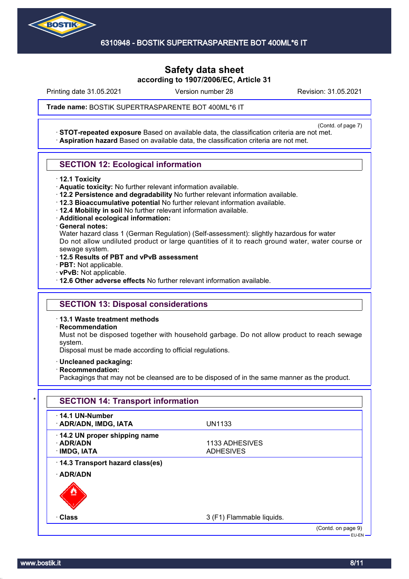

Printing date 31.05.2021 Version number 28 Revision: 31.05.2021

Trade name: BOSTIK SUPERTRASPARENTE BOT 400ML\*6 IT

(Contd. of page 7) · **STOT-repeated exposure** Based on available data, the classification criteria are not met. · **Aspiration hazard** Based on available data, the classification criteria are not met.

## **SECTION 12: Ecological information**

- · **12.1 Toxicity**
- · **Aquatic toxicity:** No further relevant information available.
- · **12.2 Persistence and degradability** No further relevant information available.
- · **12.3 Bioaccumulative potential** No further relevant information available.
- · **12.4 Mobility in soil** No further relevant information available.
- · **Additional ecological information:**
- · **General notes:**

Water hazard class 1 (German Regulation) (Self-assessment): slightly hazardous for water Do not allow undiluted product or large quantities of it to reach ground water, water course or sewage system.

- · **12.5 Results of PBT and vPvB assessment**
- · **PBT:** Not applicable.
- · **vPvB:** Not applicable.
- · **12.6 Other adverse effects** No further relevant information available.

## **SECTION 13: Disposal considerations**

· **13.1 Waste treatment methods**

· **Recommendation**

Must not be disposed together with household garbage. Do not allow product to reach sewage system.

Disposal must be made according to official regulations.

- · **Uncleaned packaging:**
- · **Recommendation:**

Packagings that may not be cleansed are to be disposed of in the same manner as the product.

| $\cdot$ 14.1 UN-Number<br>· ADR/ADN, IMDG, IATA                 | <b>UN1133</b>                      |  |
|-----------------------------------------------------------------|------------------------------------|--|
| 14.2 UN proper shipping name<br>$\cdot$ ADR/ADN<br>· IMDG, IATA | 1133 ADHESIVES<br><b>ADHESIVES</b> |  |
| 14.3 Transport hazard class(es)                                 |                                    |  |
| · ADR/ADN                                                       |                                    |  |
|                                                                 |                                    |  |
| · Class                                                         | 3 (F1) Flammable liquids.          |  |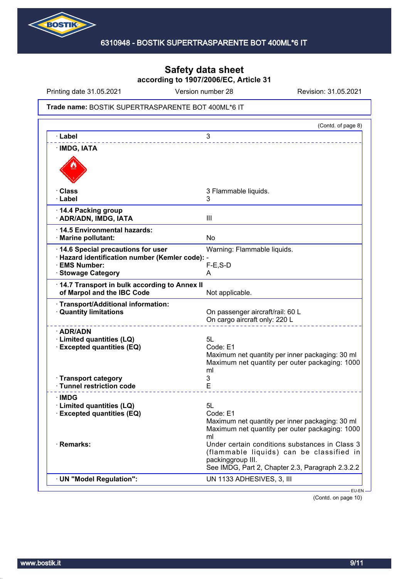

Printing date 31.05.2021 Version number 28 Revision: 31.05.2021

#### Trade name: BOSTIK SUPERTRASPARENTE BOT 400ML\*6 IT

|                                                                                                                                  | (Contd. of page 8)                                                                                                                                                  |
|----------------------------------------------------------------------------------------------------------------------------------|---------------------------------------------------------------------------------------------------------------------------------------------------------------------|
| · Label                                                                                                                          | 3                                                                                                                                                                   |
| · IMDG, IATA                                                                                                                     |                                                                                                                                                                     |
| · Class<br>· Label                                                                                                               | 3 Flammable liquids.<br>3                                                                                                                                           |
| 14.4 Packing group<br>· ADR/ADN, IMDG, IATA                                                                                      | III                                                                                                                                                                 |
| 14.5 Environmental hazards:<br>· Marine pollutant:                                                                               | <b>No</b>                                                                                                                                                           |
| 14.6 Special precautions for user<br>· Hazard identification number (Kemler code): -<br>· EMS Number:<br><b>Stowage Category</b> | Warning: Flammable liquids.<br>$F-E$ , S-D<br>A                                                                                                                     |
| 14.7 Transport in bulk according to Annex II<br>of Marpol and the IBC Code                                                       | Not applicable.                                                                                                                                                     |
| · Transport/Additional information:<br><b>Quantity limitations</b>                                                               | On passenger aircraft/rail: 60 L<br>On cargo aircraft only: 220 L                                                                                                   |
| · ADR/ADN<br>· Limited quantities (LQ)<br><b>Excepted quantities (EQ)</b>                                                        | 5L<br>Code: E1<br>Maximum net quantity per inner packaging: 30 ml<br>Maximum net quantity per outer packaging: 1000<br>ml                                           |
| · Transport category<br>· Tunnel restriction code                                                                                | 3<br>E                                                                                                                                                              |
| ∙IMDG<br>· Limited quantities (LQ)<br><b>Excepted quantities (EQ)</b>                                                            | 5L<br>Code: E1<br>Maximum net quantity per inner packaging: 30 ml<br>Maximum net quantity per outer packaging: 1000<br>ml                                           |
| · Remarks:                                                                                                                       | Under certain conditions substances in Class 3<br>(flammable liquids) can be classified in<br>packinggroup III.<br>See IMDG, Part 2, Chapter 2.3, Paragraph 2.3.2.2 |
| · UN "Model Regulation":                                                                                                         | UN 1133 ADHESIVES, 3, III                                                                                                                                           |

(Contd. on page 10)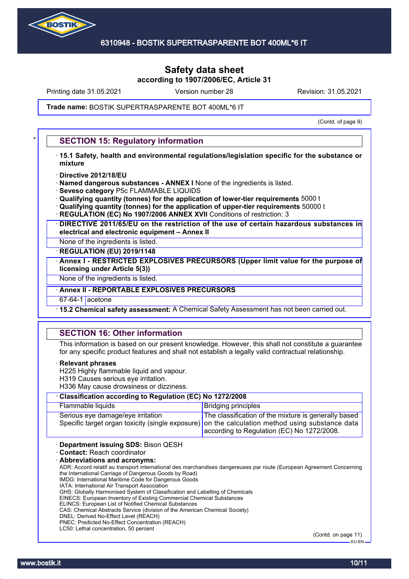

Printing date 31.05.2021 Version number 28 Revision: 31.05.2021

Trade name: BOSTIK SUPERTRASPARENTE BOT 400ML\*6 IT

(Contd. of page 9)

## **SECTION 15: Regulatory information**

- · **15.1 Safety, health and environmental regulations/legislation specific for the substance or mixture**
- · **Directive 2012/18/EU**
- · **Named dangerous substances ANNEX I** None of the ingredients is listed.
- · **Seveso category** P5c FLAMMABLE LIQUIDS
- · **Qualifying quantity (tonnes) for the application of lower-tier requirements** 5000 t
- · **Qualifying quantity (tonnes) for the application of upper-tier requirements** 50000 t
- **REGULATION (EC) No 1907/2006 ANNEX XVII** Conditions of restriction: 3
- · **DIRECTIVE 2011/65/EU on the restriction of the use of certain hazardous substances in electrical and electronic equipment – Annex II**
- None of the ingredients is listed.
- · **REGULATION (EU) 2019/1148**
- · **Annex I RESTRICTED EXPLOSIVES PRECURSORS (Upper limit value for the purpose of licensing under Article 5(3))**
- None of the ingredients is listed.
- · **Annex II REPORTABLE EXPLOSIVES PRECURSORS**
- 67-64-1 acetone
- · **15.2 Chemical safety assessment:** A Chemical Safety Assessment has not been carried out.

## **SECTION 16: Other information**

This information is based on our present knowledge. However, this shall not constitute a guarantee for any specific product features and shall not establish a legally valid contractual relationship.

#### · **Relevant phrases**

- H225 Highly flammable liquid and vapour.
- H319 Causes serious eye irritation.
- H336 May cause drowsiness or dizziness.

| Classification according to Regulation (EC) No 1272/2008 |                                                                                                                                                                                                       |  |
|----------------------------------------------------------|-------------------------------------------------------------------------------------------------------------------------------------------------------------------------------------------------------|--|
| Flammable liquids                                        | <b>Bridging principles</b>                                                                                                                                                                            |  |
| Serious eye damage/eye irritation                        | The classification of the mixture is generally based<br>Specific target organ toxicity (single exposure) on the calculation method using substance data<br>according to Regulation (EC) No 1272/2008. |  |
| Department issuing SDS: Bison QESH                       |                                                                                                                                                                                                       |  |

- · **Contact:** Reach coordinator
- · **Abbreviations and acronyms:**
- ADR: Accord relatif au transport international des marchandises dangereuses par route (European Agreement Concerning the International Carriage of Dangerous Goods by Road) IMDG: International Maritime Code for Dangerous Goods
- IATA: International Air Transport Association
- GHS: Globally Harmonised System of Classification and Labelling of Chemicals
- EINECS: European Inventory of Existing Commercial Chemical Substances
- ELINCS: European List of Notified Chemical Substances
- CAS: Chemical Abstracts Service (division of the American Chemical Society)
- DNEL: Derived No-Effect Level (REACH) PNEC: Predicted No-Effect Concentration (REACH)
- LC50: Lethal concentration, 50 percent

(Contd. on page 11) EU-EN